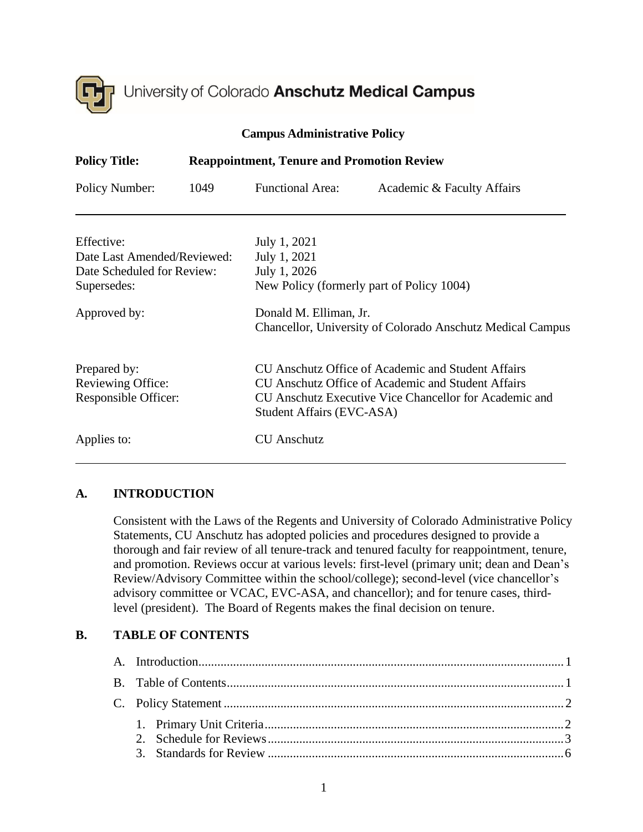

| $\mathbf{m}$ , $\mathbf{m}$ , $\mathbf{m}$ , $\mathbf{m}$ , $\mathbf{m}$ , $\mathbf{v}$ , $\mathbf{m}$ |      |                                                                                           |                                                                                                                                                                    |  |  |  |
|--------------------------------------------------------------------------------------------------------|------|-------------------------------------------------------------------------------------------|--------------------------------------------------------------------------------------------------------------------------------------------------------------------|--|--|--|
| <b>Policy Title:</b><br><b>Reappointment, Tenure and Promotion Review</b>                              |      |                                                                                           |                                                                                                                                                                    |  |  |  |
| Policy Number:                                                                                         | 1049 | <b>Functional Area:</b>                                                                   | Academic & Faculty Affairs                                                                                                                                         |  |  |  |
| Effective:<br>Date Last Amended/Reviewed:<br>Date Scheduled for Review:<br>Supersedes:                 |      | July 1, 2021<br>July 1, 2021<br>July 1, 2026<br>New Policy (formerly part of Policy 1004) |                                                                                                                                                                    |  |  |  |
| Approved by:                                                                                           |      | Donald M. Elliman, Jr.                                                                    | <b>Chancellor, University of Colorado Anschutz Medical Campus</b>                                                                                                  |  |  |  |
| Prepared by:<br>Reviewing Office:<br>Responsible Officer:                                              |      | Student Affairs (EVC-ASA)                                                                 | CU Anschutz Office of Academic and Student Affairs<br>CU Anschutz Office of Academic and Student Affairs<br>CU Anschutz Executive Vice Chancellor for Academic and |  |  |  |
| Applies to:                                                                                            |      | <b>CU</b> Anschutz                                                                        |                                                                                                                                                                    |  |  |  |

#### **Campus Administrative Policy**

# <span id="page-0-0"></span>**A. INTRODUCTION**

Consistent with the Laws of the Regents and University of Colorado Administrative Policy Statements, CU Anschutz has adopted policies and procedures designed to provide a thorough and fair review of all tenure-track and tenured faculty for reappointment, tenure, and promotion. Reviews occur at various levels: first-level (primary unit; dean and Dean's Review/Advisory Committee within the school/college); second-level (vice chancellor's advisory committee or VCAC, EVC-ASA, and chancellor); and for tenure cases, thirdlevel (president). The Board of Regents makes the final decision on tenure.

## <span id="page-0-1"></span>**B. TABLE OF CONTENTS**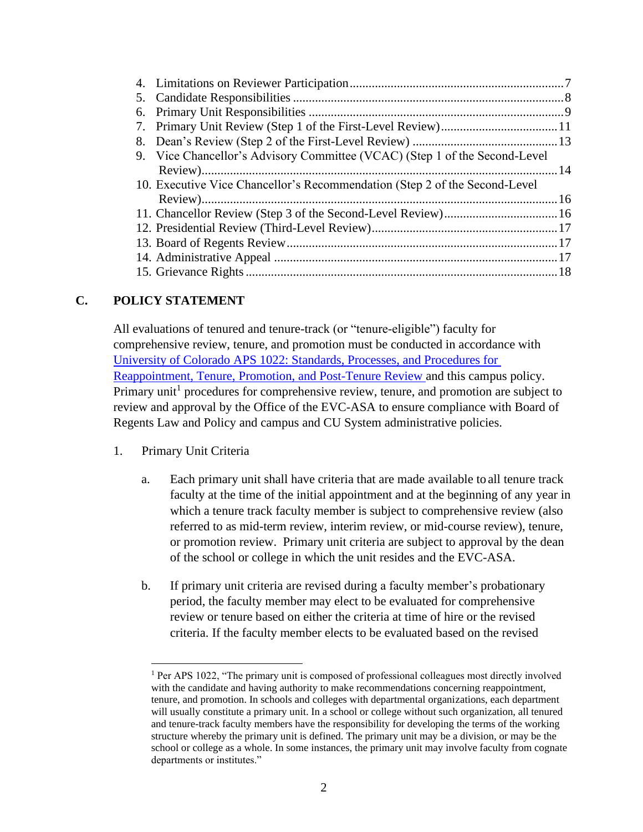| 9. Vice Chancellor's Advisory Committee (VCAC) (Step 1 of the Second-Level |  |
|----------------------------------------------------------------------------|--|
|                                                                            |  |
| 10. Executive Vice Chancellor's Recommendation (Step 2 of the Second-Level |  |
|                                                                            |  |
|                                                                            |  |
|                                                                            |  |
|                                                                            |  |
|                                                                            |  |
|                                                                            |  |

## <span id="page-1-0"></span>**C. POLICY STATEMENT**

All evaluations of tenured and tenure-track (or "tenure-eligible") faculty for comprehensive review, tenure, and promotion must be conducted in accordance with University of Colorado APS 1022: [Standards, Processes, and Procedures for](https://www.cu.edu/ope/aps/1022)  [Reappointment, Tenure, Promotion, and Post-Tenure Review](https://www.cu.edu/ope/aps/1022) and this campus policy. Primary unit<sup>1</sup> procedures for comprehensive review, tenure, and promotion are subject to review and approval by the Office of the EVC-ASA to ensure compliance with Board of Regents Law and Policy and campus and CU System administrative policies.

- <span id="page-1-1"></span>1. Primary Unit Criteria
	- a. Each primary unit shall have criteria that are made available to all tenure track faculty at the time of the initial appointment and at the beginning of any year in which a tenure track faculty member is subject to comprehensive review (also referred to as mid-term review, interim review, or mid-course review), tenure, or promotion review. Primary unit criteria are subject to approval by the dean of the school or college in which the unit resides and the EVC-ASA.
	- b. If primary unit criteria are revised during a faculty member's probationary period, the faculty member may elect to be evaluated for comprehensive review or tenure based on either the criteria at time of hire or the revised criteria. If the faculty member elects to be evaluated based on the revised

<sup>&</sup>lt;sup>1</sup> Per APS 1022, "The primary unit is composed of professional colleagues most directly involved with the candidate and having authority to make recommendations concerning reappointment, tenure, and promotion. In schools and colleges with departmental organizations, each department will usually constitute a primary unit. In a school or college without such organization, all tenured and tenure-track faculty members have the responsibility for developing the terms of the working structure whereby the primary unit is defined. The primary unit may be a division, or may be the school or college as a whole. In some instances, the primary unit may involve faculty from cognate departments or institutes."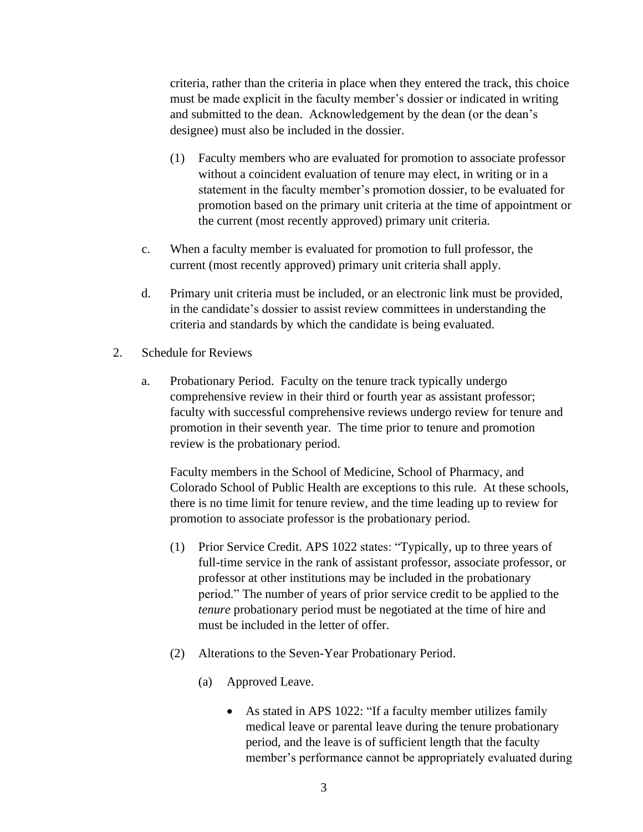criteria, rather than the criteria in place when they entered the track, this choice must be made explicit in the faculty member's dossier or indicated in writing and submitted to the dean. Acknowledgement by the dean (or the dean's designee) must also be included in the dossier.

- (1) Faculty members who are evaluated for promotion to associate professor without a coincident evaluation of tenure may elect, in writing or in a statement in the faculty member's promotion dossier, to be evaluated for promotion based on the primary unit criteria at the time of appointment or the current (most recently approved) primary unit criteria.
- c. When a faculty member is evaluated for promotion to full professor, the current (most recently approved) primary unit criteria shall apply.
- d. Primary unit criteria must be included, or an electronic link must be provided, in the candidate's dossier to assist review committees in understanding the criteria and standards by which the candidate is being evaluated.
- <span id="page-2-0"></span>2. Schedule for Reviews
	- a. Probationary Period. Faculty on the tenure track typically undergo comprehensive review in their third or fourth year as assistant professor; faculty with successful comprehensive reviews undergo review for tenure and promotion in their seventh year. The time prior to tenure and promotion review is the probationary period.

Faculty members in the School of Medicine, School of Pharmacy, and Colorado School of Public Health are exceptions to this rule. At these schools, there is no time limit for tenure review, and the time leading up to review for promotion to associate professor is the probationary period.

- (1) Prior Service Credit. APS 1022 states: "Typically, up to three years of full-time service in the rank of assistant professor, associate professor, or professor at other institutions may be included in the probationary period." The number of years of prior service credit to be applied to the *tenure* probationary period must be negotiated at the time of hire and must be included in the letter of offer.
- (2) Alterations to the Seven-Year Probationary Period.
	- (a) Approved Leave.
		- As stated in APS 1022: "If a faculty member utilizes family medical leave or parental leave during the tenure probationary period, and the leave is of sufficient length that the faculty member's performance cannot be appropriately evaluated during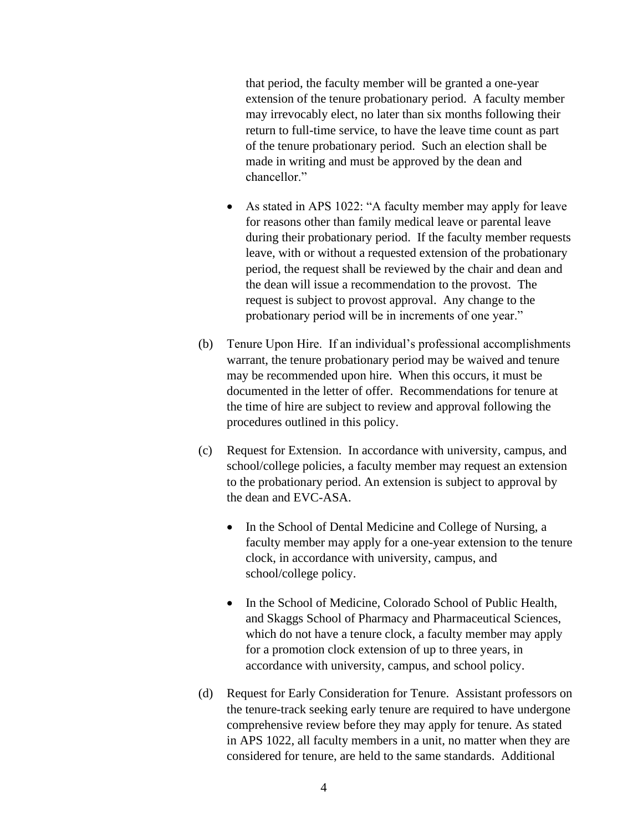that period, the faculty member will be granted a one-year extension of the tenure probationary period. A faculty member may irrevocably elect, no later than six months following their return to full-time service, to have the leave time count as part of the tenure probationary period. Such an election shall be made in writing and must be approved by the dean and chancellor."

- As stated in APS 1022: "A faculty member may apply for leave for reasons other than family medical leave or parental leave during their probationary period. If the faculty member requests leave, with or without a requested extension of the probationary period, the request shall be reviewed by the chair and dean and the dean will issue a recommendation to the provost. The request is subject to provost approval. Any change to the probationary period will be in increments of one year."
- (b) Tenure Upon Hire. If an individual's professional accomplishments warrant, the tenure probationary period may be waived and tenure may be recommended upon hire. When this occurs, it must be documented in the letter of offer. Recommendations for tenure at the time of hire are subject to review and approval following the procedures outlined in this policy.
- (c) Request for Extension. In accordance with university, campus, and school/college policies, a faculty member may request an extension to the probationary period. An extension is subject to approval by the dean and EVC-ASA.
	- In the School of Dental Medicine and College of Nursing, a faculty member may apply for a one-year extension to the tenure clock, in accordance with university, campus, and school/college policy.
	- In the School of Medicine, Colorado School of Public Health, and Skaggs School of Pharmacy and Pharmaceutical Sciences, which do not have a tenure clock, a faculty member may apply for a promotion clock extension of up to three years, in accordance with university, campus, and school policy.
- (d) Request for Early Consideration for Tenure. Assistant professors on the tenure-track seeking early tenure are required to have undergone comprehensive review before they may apply for tenure. As stated in APS 1022, all faculty members in a unit, no matter when they are considered for tenure, are held to the same standards. Additional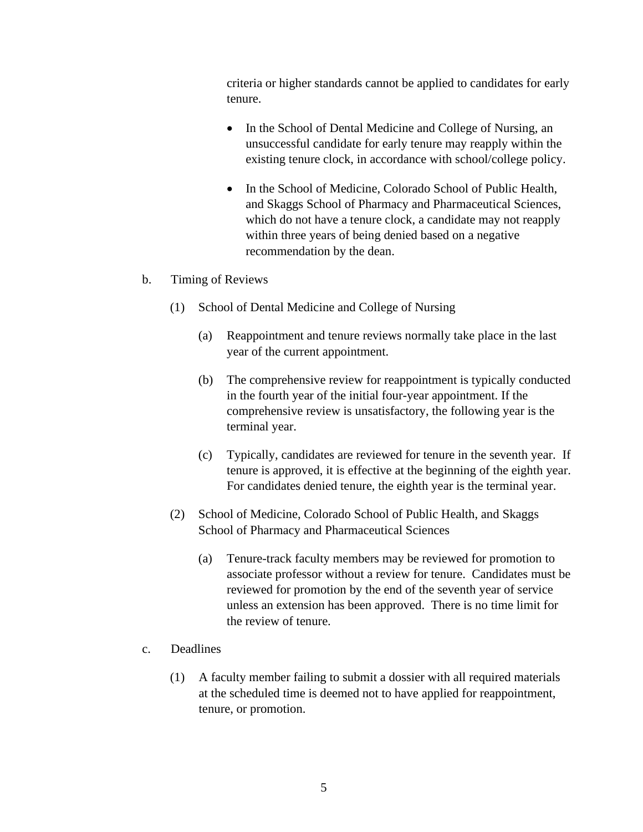criteria or higher standards cannot be applied to candidates for early tenure.

- In the School of Dental Medicine and College of Nursing, an unsuccessful candidate for early tenure may reapply within the existing tenure clock, in accordance with school/college policy.
- In the School of Medicine, Colorado School of Public Health, and Skaggs School of Pharmacy and Pharmaceutical Sciences, which do not have a tenure clock, a candidate may not reapply within three years of being denied based on a negative recommendation by the dean.

#### b. Timing of Reviews

- (1) School of Dental Medicine and College of Nursing
	- (a) Reappointment and tenure reviews normally take place in the last year of the current appointment.
	- (b) The comprehensive review for reappointment is typically conducted in the fourth year of the initial four-year appointment. If the comprehensive review is unsatisfactory, the following year is the terminal year.
	- (c) Typically, candidates are reviewed for tenure in the seventh year. If tenure is approved, it is effective at the beginning of the eighth year. For candidates denied tenure, the eighth year is the terminal year.
- (2) School of Medicine, Colorado School of Public Health, and Skaggs School of Pharmacy and Pharmaceutical Sciences
	- (a) Tenure-track faculty members may be reviewed for promotion to associate professor without a review for tenure. Candidates must be reviewed for promotion by the end of the seventh year of service unless an extension has been approved. There is no time limit for the review of tenure.
- c. Deadlines
	- (1) A faculty member failing to submit a dossier with all required materials at the scheduled time is deemed not to have applied for reappointment, tenure, or promotion.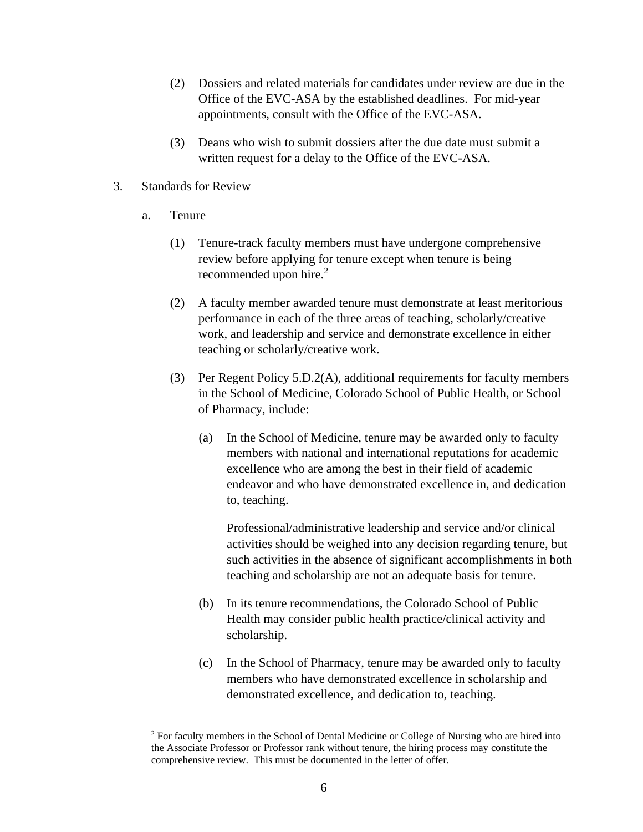- (2) Dossiers and related materials for candidates under review are due in the Office of the EVC-ASA by the established deadlines. For mid-year appointments, consult with the Office of the EVC-ASA.
- <span id="page-5-0"></span>(3) Deans who wish to submit dossiers after the due date must submit a written request for a delay to the Office of the EVC-ASA.
- 3. Standards for Review
	- a. Tenure
		- (1) Tenure-track faculty members must have undergone comprehensive review before applying for tenure except when tenure is being recommended upon hire.<sup>2</sup>
		- (2) A faculty member awarded tenure must demonstrate at least meritorious performance in each of the three areas of teaching, scholarly/creative work, and leadership and service and demonstrate excellence in either teaching or scholarly/creative work.
		- (3) Per Regent Policy 5.D.2(A), additional requirements for faculty members in the School of Medicine, Colorado School of Public Health, or School of Pharmacy, include:
			- (a) In the School of Medicine, tenure may be awarded only to faculty members with national and international reputations for academic excellence who are among the best in their field of academic endeavor and who have demonstrated excellence in, and dedication to, teaching.

Professional/administrative leadership and service and/or clinical activities should be weighed into any decision regarding tenure, but such activities in the absence of significant accomplishments in both teaching and scholarship are not an adequate basis for tenure.

- (b) In its tenure recommendations, the Colorado School of Public Health may consider public health practice/clinical activity and scholarship.
- (c) In the School of Pharmacy, tenure may be awarded only to faculty members who have demonstrated excellence in scholarship and demonstrated excellence, and dedication to, teaching.

<sup>2</sup> For faculty members in the School of Dental Medicine or College of Nursing who are hired into the Associate Professor or Professor rank without tenure, the hiring process may constitute the comprehensive review. This must be documented in the letter of offer.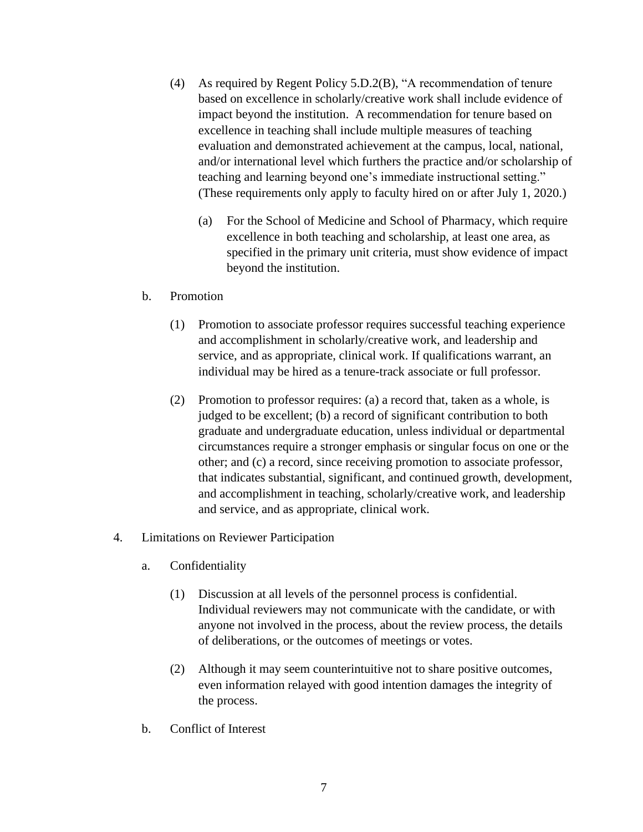- (4) As required by Regent Policy 5.D.2(B), "A recommendation of tenure based on excellence in scholarly/creative work shall include evidence of impact beyond the institution. A recommendation for tenure based on excellence in teaching shall include multiple measures of teaching evaluation and demonstrated achievement at the campus, local, national, and/or international level which furthers the practice and/or scholarship of teaching and learning beyond one's immediate instructional setting." (These requirements only apply to faculty hired on or after July 1, 2020.)
	- (a) For the School of Medicine and School of Pharmacy, which require excellence in both teaching and scholarship, at least one area, as specified in the primary unit criteria, must show evidence of impact beyond the institution.

#### b. Promotion

- (1) Promotion to associate professor requires successful teaching experience and accomplishment in scholarly/creative work, and leadership and service, and as appropriate, clinical work. If qualifications warrant, an individual may be hired as a tenure-track associate or full professor.
- (2) Promotion to professor requires: (a) a record that, taken as a whole, is judged to be excellent; (b) a record of significant contribution to both graduate and undergraduate education, unless individual or departmental circumstances require a stronger emphasis or singular focus on one or the other; and (c) a record, since receiving promotion to associate professor, that indicates substantial, significant, and continued growth, development, and accomplishment in teaching, scholarly/creative work, and leadership and service, and as appropriate, clinical work.

#### <span id="page-6-0"></span>4. Limitations on Reviewer Participation

- a. Confidentiality
	- (1) Discussion at all levels of the personnel process is confidential. Individual reviewers may not communicate with the candidate, or with anyone not involved in the process, about the review process, the details of deliberations, or the outcomes of meetings or votes.
	- (2) Although it may seem counterintuitive not to share positive outcomes, even information relayed with good intention damages the integrity of the process.
- b. Conflict of Interest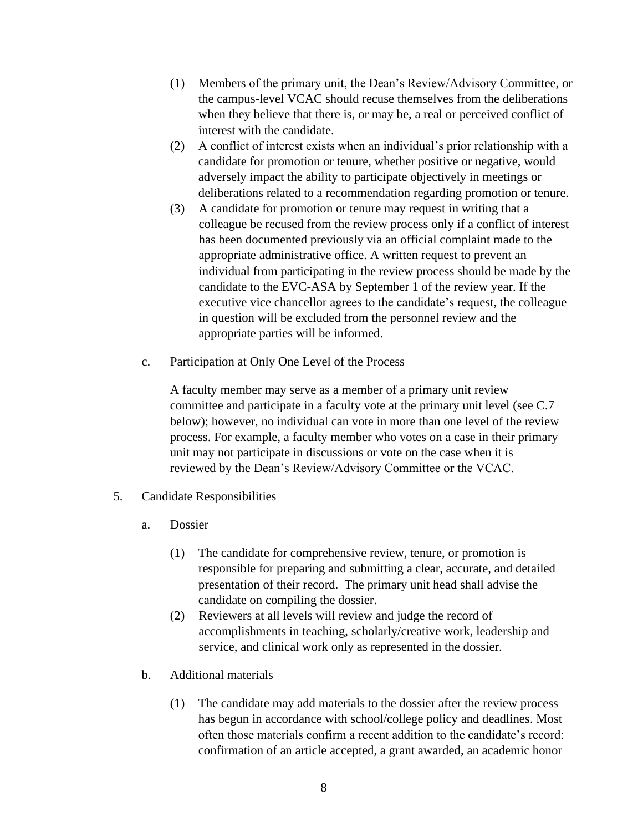- (1) Members of the primary unit, the Dean's Review/Advisory Committee, or the campus-level VCAC should recuse themselves from the deliberations when they believe that there is, or may be, a real or perceived conflict of interest with the candidate.
- (2) A conflict of interest exists when an individual's prior relationship with a candidate for promotion or tenure, whether positive or negative, would adversely impact the ability to participate objectively in meetings or deliberations related to a recommendation regarding promotion or tenure.
- (3) A candidate for promotion or tenure may request in writing that a colleague be recused from the review process only if a conflict of interest has been documented previously via an official complaint made to the appropriate administrative office. A written request to prevent an individual from participating in the review process should be made by the candidate to the EVC-ASA by September 1 of the review year. If the executive vice chancellor agrees to the candidate's request, the colleague in question will be excluded from the personnel review and the appropriate parties will be informed.
- c. Participation at Only One Level of the Process

A faculty member may serve as a member of a primary unit review committee and participate in a faculty vote at the primary unit level (see C.7 below); however, no individual can vote in more than one level of the review process. For example, a faculty member who votes on a case in their primary unit may not participate in discussions or vote on the case when it is reviewed by the Dean's Review/Advisory Committee or the VCAC.

- <span id="page-7-0"></span>5. Candidate Responsibilities
	- a. Dossier
		- (1) The candidate for comprehensive review, tenure, or promotion is responsible for preparing and submitting a clear, accurate, and detailed presentation of their record. The primary unit head shall advise the candidate on compiling the dossier.
		- (2) Reviewers at all levels will review and judge the record of accomplishments in teaching, scholarly/creative work, leadership and service, and clinical work only as represented in the dossier.
	- b. Additional materials
		- (1) The candidate may add materials to the dossier after the review process has begun in accordance with school/college policy and deadlines. Most often those materials confirm a recent addition to the candidate's record: confirmation of an article accepted, a grant awarded, an academic honor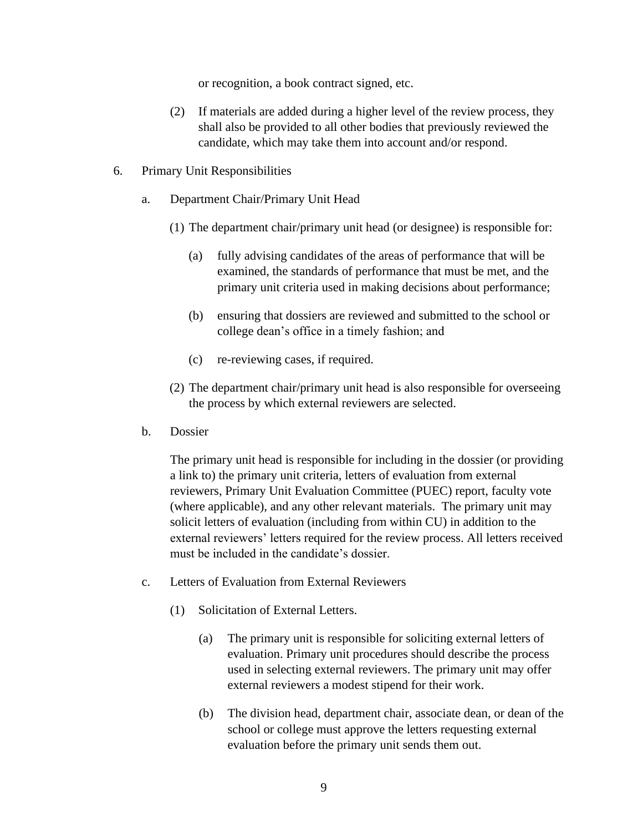or recognition, a book contract signed, etc.

- (2) If materials are added during a higher level of the review process, they shall also be provided to all other bodies that previously reviewed the candidate, which may take them into account and/or respond.
- <span id="page-8-0"></span>6. Primary Unit Responsibilities
	- a. Department Chair/Primary Unit Head
		- (1) The department chair/primary unit head (or designee) is responsible for:
			- (a) fully advising candidates of the areas of performance that will be examined, the standards of performance that must be met, and the primary unit criteria used in making decisions about performance;
			- (b) ensuring that dossiers are reviewed and submitted to the school or college dean's office in a timely fashion; and
			- (c) re-reviewing cases, if required.
		- (2) The department chair/primary unit head is also responsible for overseeing the process by which external reviewers are selected.
	- b. Dossier

The primary unit head is responsible for including in the dossier (or providing a link to) the primary unit criteria, letters of evaluation from external reviewers, Primary Unit Evaluation Committee (PUEC) report, faculty vote (where applicable), and any other relevant materials. The primary unit may solicit letters of evaluation (including from within CU) in addition to the external reviewers' letters required for the review process. All letters received must be included in the candidate's dossier.

- c. Letters of Evaluation from External Reviewers
	- (1) Solicitation of External Letters.
		- (a) The primary unit is responsible for soliciting external letters of evaluation. Primary unit procedures should describe the process used in selecting external reviewers. The primary unit may offer external reviewers a modest stipend for their work.
		- (b) The division head, department chair, associate dean, or dean of the school or college must approve the letters requesting external evaluation before the primary unit sends them out.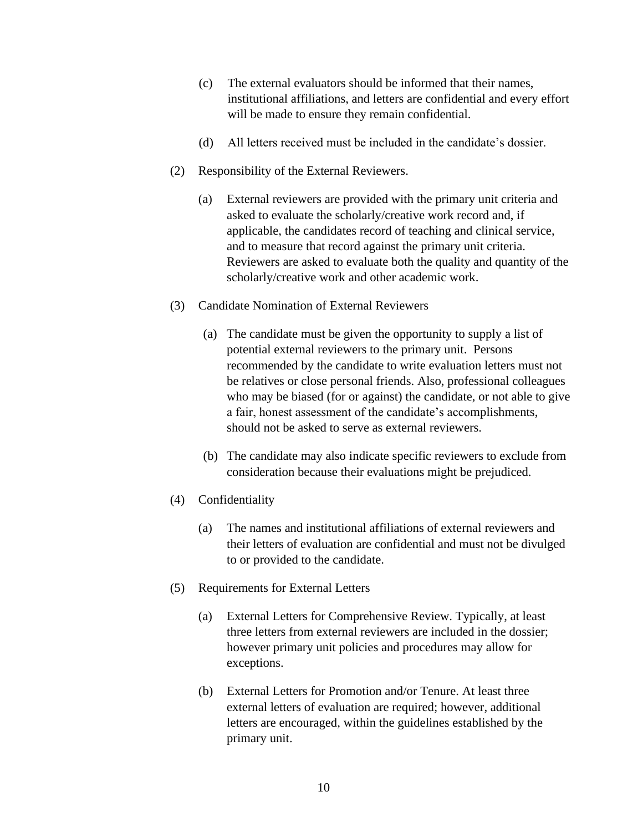- (c) The external evaluators should be informed that their names, institutional affiliations, and letters are confidential and every effort will be made to ensure they remain confidential.
- (d) All letters received must be included in the candidate's dossier.
- (2) Responsibility of the External Reviewers.
	- (a) External reviewers are provided with the primary unit criteria and asked to evaluate the scholarly/creative work record and, if applicable, the candidates record of teaching and clinical service, and to measure that record against the primary unit criteria. Reviewers are asked to evaluate both the quality and quantity of the scholarly/creative work and other academic work.
- (3) Candidate Nomination of External Reviewers
	- (a) The candidate must be given the opportunity to supply a list of potential external reviewers to the primary unit. Persons recommended by the candidate to write evaluation letters must not be relatives or close personal friends. Also, professional colleagues who may be biased (for or against) the candidate, or not able to give a fair, honest assessment of the candidate's accomplishments, should not be asked to serve as external reviewers.
	- (b) The candidate may also indicate specific reviewers to exclude from consideration because their evaluations might be prejudiced.
- (4) Confidentiality
	- (a) The names and institutional affiliations of external reviewers and their letters of evaluation are confidential and must not be divulged to or provided to the candidate.
- (5) Requirements for External Letters
	- (a) External Letters for Comprehensive Review. Typically, at least three letters from external reviewers are included in the dossier; however primary unit policies and procedures may allow for exceptions.
	- (b) External Letters for Promotion and/or Tenure. At least three external letters of evaluation are required; however, additional letters are encouraged, within the guidelines established by the primary unit.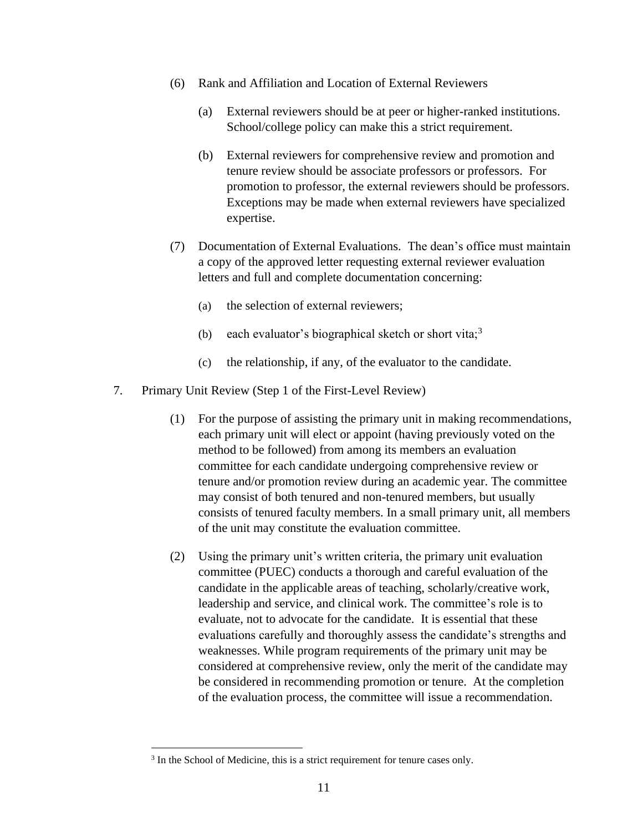- (6) Rank and Affiliation and Location of External Reviewers
	- (a) External reviewers should be at peer or higher-ranked institutions. School/college policy can make this a strict requirement.
	- (b) External reviewers for comprehensive review and promotion and tenure review should be associate professors or professors. For promotion to professor, the external reviewers should be professors. Exceptions may be made when external reviewers have specialized expertise.
- (7) Documentation of External Evaluations. The dean's office must maintain a copy of the approved letter requesting external reviewer evaluation letters and full and complete documentation concerning:
	- (a) the selection of external reviewers;
	- (b) each evaluator's biographical sketch or short vita;<sup>3</sup>
	- (c) the relationship, if any, of the evaluator to the candidate.
- <span id="page-10-0"></span>7. Primary Unit Review (Step 1 of the First-Level Review)
	- (1) For the purpose of assisting the primary unit in making recommendations, each primary unit will elect or appoint (having previously voted on the method to be followed) from among its members an evaluation committee for each candidate undergoing comprehensive review or tenure and/or promotion review during an academic year. The committee may consist of both tenured and non-tenured members, but usually consists of tenured faculty members. In a small primary unit, all members of the unit may constitute the evaluation committee.
	- (2) Using the primary unit's written criteria, the primary unit evaluation committee (PUEC) conducts a thorough and careful evaluation of the candidate in the applicable areas of teaching, scholarly/creative work, leadership and service, and clinical work. The committee's role is to evaluate, not to advocate for the candidate. It is essential that these evaluations carefully and thoroughly assess the candidate's strengths and weaknesses. While program requirements of the primary unit may be considered at comprehensive review, only the merit of the candidate may be considered in recommending promotion or tenure. At the completion of the evaluation process, the committee will issue a recommendation.

<sup>&</sup>lt;sup>3</sup> In the School of Medicine, this is a strict requirement for tenure cases only.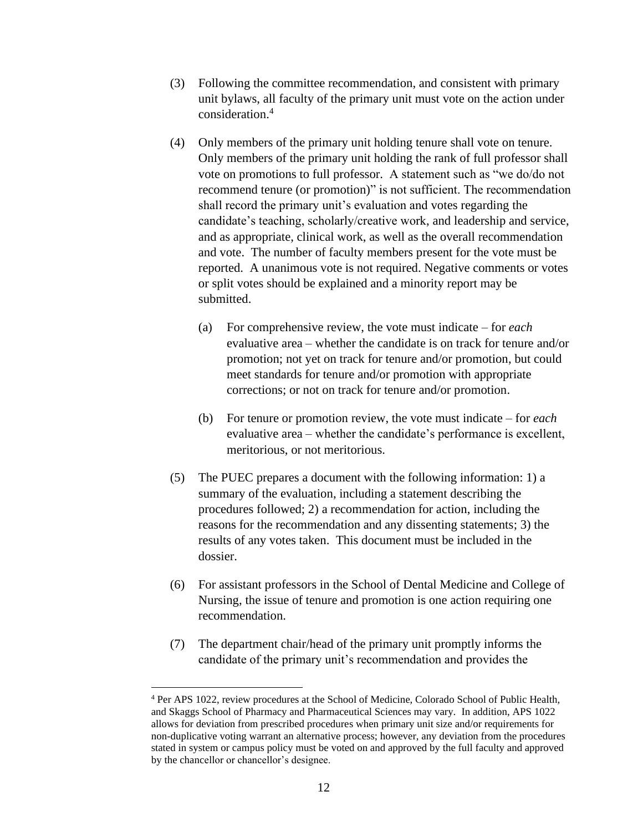- (3) Following the committee recommendation, and consistent with primary unit bylaws, all faculty of the primary unit must vote on the action under consideration. 4
- (4) Only members of the primary unit holding tenure shall vote on tenure. Only members of the primary unit holding the rank of full professor shall vote on promotions to full professor. A statement such as "we do/do not recommend tenure (or promotion)" is not sufficient. The recommendation shall record the primary unit's evaluation and votes regarding the candidate's teaching, scholarly/creative work, and leadership and service, and as appropriate, clinical work, as well as the overall recommendation and vote. The number of faculty members present for the vote must be reported. A unanimous vote is not required. Negative comments or votes or split votes should be explained and a minority report may be submitted.
	- (a) For comprehensive review, the vote must indicate for *each* evaluative area – whether the candidate is on track for tenure and/or promotion; not yet on track for tenure and/or promotion, but could meet standards for tenure and/or promotion with appropriate corrections; or not on track for tenure and/or promotion.
	- (b) For tenure or promotion review, the vote must indicate for *each* evaluative area – whether the candidate's performance is excellent, meritorious, or not meritorious.
- (5) The PUEC prepares a document with the following information: 1) a summary of the evaluation, including a statement describing the procedures followed; 2) a recommendation for action, including the reasons for the recommendation and any dissenting statements; 3) the results of any votes taken. This document must be included in the dossier.
- (6) For assistant professors in the School of Dental Medicine and College of Nursing, the issue of tenure and promotion is one action requiring one recommendation.
- (7) The department chair/head of the primary unit promptly informs the candidate of the primary unit's recommendation and provides the

<sup>4</sup> Per APS 1022, review procedures at the School of Medicine, Colorado School of Public Health, and Skaggs School of Pharmacy and Pharmaceutical Sciences may vary. In addition, APS 1022 allows for deviation from prescribed procedures when primary unit size and/or requirements for non-duplicative voting warrant an alternative process; however, any deviation from the procedures stated in system or campus policy must be voted on and approved by the full faculty and approved by the chancellor or chancellor's designee.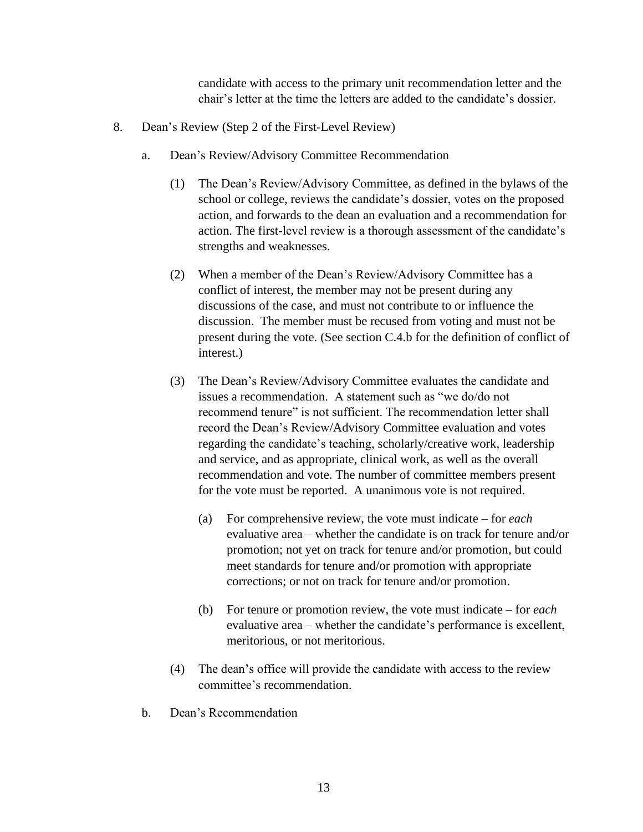candidate with access to the primary unit recommendation letter and the chair's letter at the time the letters are added to the candidate's dossier.

- <span id="page-12-0"></span>8. Dean's Review (Step 2 of the First-Level Review)
	- a. Dean's Review/Advisory Committee Recommendation
		- (1) The Dean's Review/Advisory Committee, as defined in the bylaws of the school or college, reviews the candidate's dossier, votes on the proposed action, and forwards to the dean an evaluation and a recommendation for action. The first-level review is a thorough assessment of the candidate's strengths and weaknesses.
		- (2) When a member of the Dean's Review/Advisory Committee has a conflict of interest, the member may not be present during any discussions of the case, and must not contribute to or influence the discussion. The member must be recused from voting and must not be present during the vote. (See section C.4.b for the definition of conflict of interest.)
		- (3) The Dean's Review/Advisory Committee evaluates the candidate and issues a recommendation. A statement such as "we do/do not recommend tenure" is not sufficient. The recommendation letter shall record the Dean's Review/Advisory Committee evaluation and votes regarding the candidate's teaching, scholarly/creative work, leadership and service, and as appropriate, clinical work, as well as the overall recommendation and vote. The number of committee members present for the vote must be reported. A unanimous vote is not required.
			- (a) For comprehensive review, the vote must indicate for *each* evaluative area – whether the candidate is on track for tenure and/or promotion; not yet on track for tenure and/or promotion, but could meet standards for tenure and/or promotion with appropriate corrections; or not on track for tenure and/or promotion.
			- (b) For tenure or promotion review, the vote must indicate for *each* evaluative area – whether the candidate's performance is excellent, meritorious, or not meritorious.
		- (4) The dean's office will provide the candidate with access to the review committee's recommendation.
	- b. Dean's Recommendation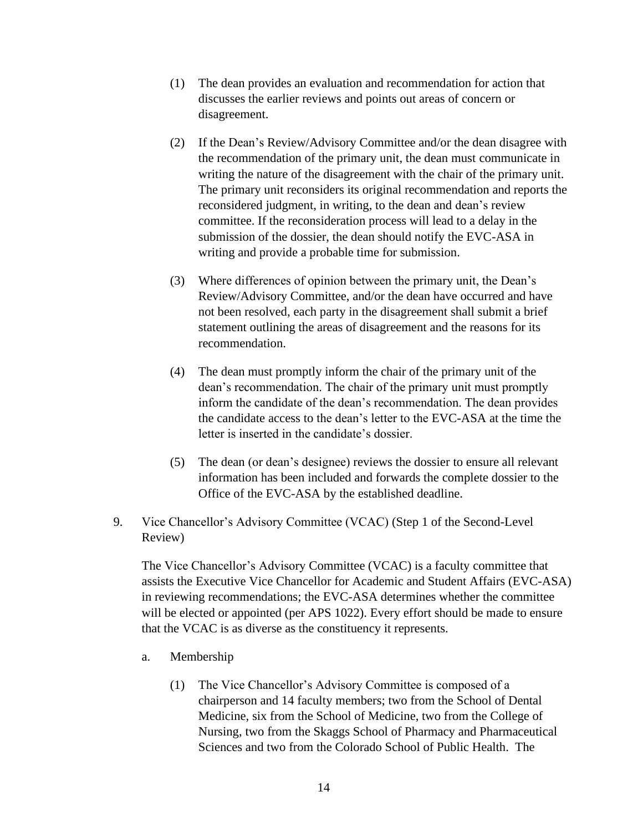- (1) The dean provides an evaluation and recommendation for action that discusses the earlier reviews and points out areas of concern or disagreement.
- (2) If the Dean's Review/Advisory Committee and/or the dean disagree with the recommendation of the primary unit, the dean must communicate in writing the nature of the disagreement with the chair of the primary unit. The primary unit reconsiders its original recommendation and reports the reconsidered judgment, in writing, to the dean and dean's review committee. If the reconsideration process will lead to a delay in the submission of the dossier, the dean should notify the EVC-ASA in writing and provide a probable time for submission.
- (3) Where differences of opinion between the primary unit, the Dean's Review/Advisory Committee, and/or the dean have occurred and have not been resolved, each party in the disagreement shall submit a brief statement outlining the areas of disagreement and the reasons for its recommendation.
- (4) The dean must promptly inform the chair of the primary unit of the dean's recommendation. The chair of the primary unit must promptly inform the candidate of the dean's recommendation. The dean provides the candidate access to the dean's letter to the EVC-ASA at the time the letter is inserted in the candidate's dossier.
- (5) The dean (or dean's designee) reviews the dossier to ensure all relevant information has been included and forwards the complete dossier to the Office of the EVC-ASA by the established deadline.
- <span id="page-13-0"></span>9. Vice Chancellor's Advisory Committee (VCAC) (Step 1 of the Second-Level Review)

The Vice Chancellor's Advisory Committee (VCAC) is a faculty committee that assists the Executive Vice Chancellor for Academic and Student Affairs (EVC-ASA) in reviewing recommendations; the EVC-ASA determines whether the committee will be elected or appointed (per APS 1022). Every effort should be made to ensure that the VCAC is as diverse as the constituency it represents.

- a. Membership
	- (1) The Vice Chancellor's Advisory Committee is composed of a chairperson and 14 faculty members; two from the School of Dental Medicine, six from the School of Medicine, two from the College of Nursing, two from the Skaggs School of Pharmacy and Pharmaceutical Sciences and two from the Colorado School of Public Health. The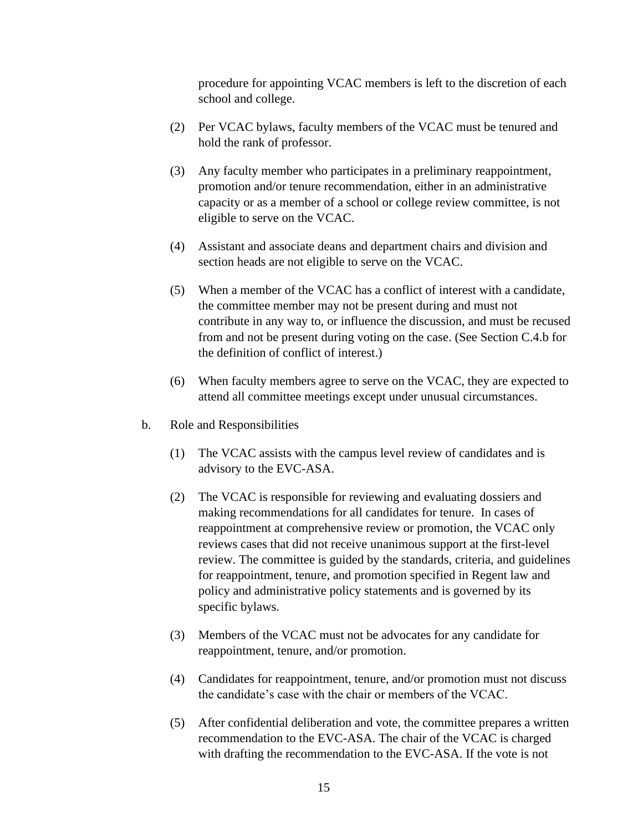procedure for appointing VCAC members is left to the discretion of each school and college.

- (2) Per VCAC bylaws, faculty members of the VCAC must be tenured and hold the rank of professor.
- (3) Any faculty member who participates in a preliminary reappointment, promotion and/or tenure recommendation, either in an administrative capacity or as a member of a school or college review committee, is not eligible to serve on the VCAC.
- (4) Assistant and associate deans and department chairs and division and section heads are not eligible to serve on the VCAC.
- (5) When a member of the VCAC has a conflict of interest with a candidate, the committee member may not be present during and must not contribute in any way to, or influence the discussion, and must be recused from and not be present during voting on the case. (See Section C.4.b for the definition of conflict of interest.)
- (6) When faculty members agree to serve on the VCAC, they are expected to attend all committee meetings except under unusual circumstances.
- b. Role and Responsibilities
	- (1) The VCAC assists with the campus level review of candidates and is advisory to the EVC-ASA.
	- (2) The VCAC is responsible for reviewing and evaluating dossiers and making recommendations for all candidates for tenure. In cases of reappointment at comprehensive review or promotion, the VCAC only reviews cases that did not receive unanimous support at the first-level review. The committee is guided by the standards, criteria, and guidelines for reappointment, tenure, and promotion specified in Regent law and policy and administrative policy statements and is governed by its specific bylaws.
	- (3) Members of the VCAC must not be advocates for any candidate for reappointment, tenure, and/or promotion.
	- (4) Candidates for reappointment, tenure, and/or promotion must not discuss the candidate's case with the chair or members of the VCAC.
	- (5) After confidential deliberation and vote, the committee prepares a written recommendation to the EVC-ASA. The chair of the VCAC is charged with drafting the recommendation to the EVC-ASA. If the vote is not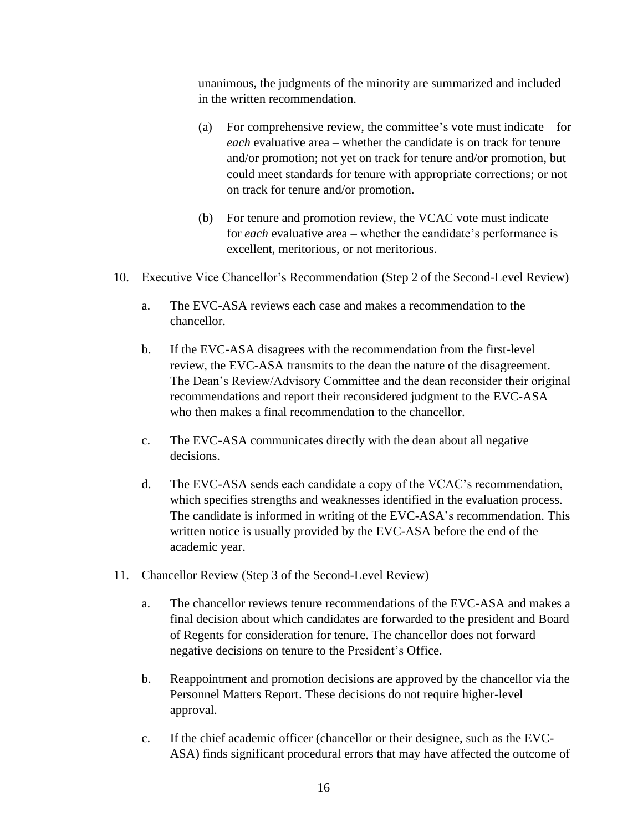unanimous, the judgments of the minority are summarized and included in the written recommendation.

- (a) For comprehensive review, the committee's vote must indicate for *each* evaluative area – whether the candidate is on track for tenure and/or promotion; not yet on track for tenure and/or promotion, but could meet standards for tenure with appropriate corrections; or not on track for tenure and/or promotion.
- (b) For tenure and promotion review, the VCAC vote must indicate for *each* evaluative area – whether the candidate's performance is excellent, meritorious, or not meritorious.
- <span id="page-15-0"></span>10. Executive Vice Chancellor's Recommendation (Step 2 of the Second-Level Review)
	- a. The EVC-ASA reviews each case and makes a recommendation to the chancellor.
	- b. If the EVC-ASA disagrees with the recommendation from the first-level review, the EVC-ASA transmits to the dean the nature of the disagreement. The Dean's Review/Advisory Committee and the dean reconsider their original recommendations and report their reconsidered judgment to the EVC-ASA who then makes a final recommendation to the chancellor.
	- c. The EVC-ASA communicates directly with the dean about all negative decisions.
	- d. The EVC-ASA sends each candidate a copy of the VCAC's recommendation, which specifies strengths and weaknesses identified in the evaluation process. The candidate is informed in writing of the EVC-ASA's recommendation. This written notice is usually provided by the EVC-ASA before the end of the academic year.
- <span id="page-15-1"></span>11. Chancellor Review (Step 3 of the Second-Level Review)
	- a. The chancellor reviews tenure recommendations of the EVC-ASA and makes a final decision about which candidates are forwarded to the president and Board of Regents for consideration for tenure. The chancellor does not forward negative decisions on tenure to the President's Office.
	- b. Reappointment and promotion decisions are approved by the chancellor via the Personnel Matters Report. These decisions do not require higher-level approval.
	- c. If the chief academic officer (chancellor or their designee, such as the EVC-ASA) finds significant procedural errors that may have affected the outcome of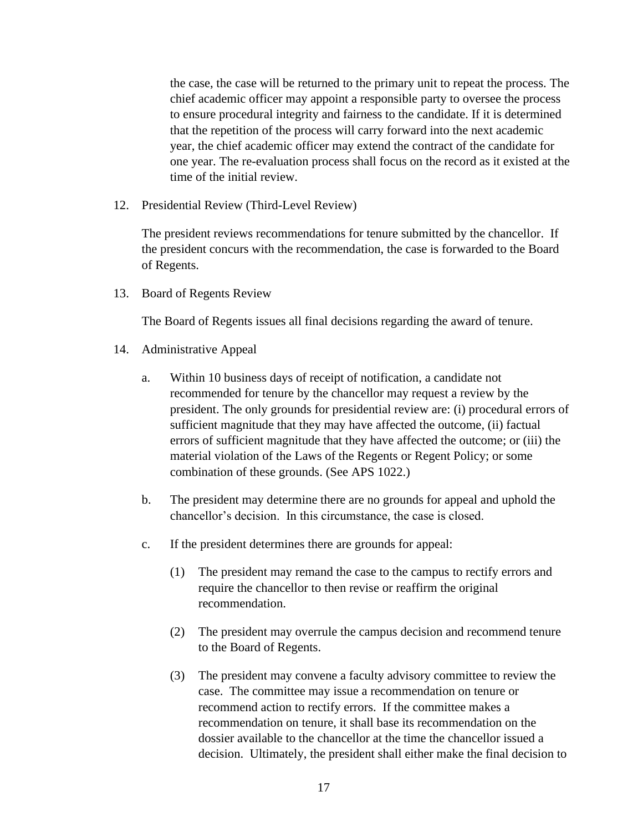the case, the case will be returned to the primary unit to repeat the process. The chief academic officer may appoint a responsible party to oversee the process to ensure procedural integrity and fairness to the candidate. If it is determined that the repetition of the process will carry forward into the next academic year, the chief academic officer may extend the contract of the candidate for one year. The re-evaluation process shall focus on the record as it existed at the time of the initial review.

<span id="page-16-0"></span>12. Presidential Review (Third-Level Review)

The president reviews recommendations for tenure submitted by the chancellor. If the president concurs with the recommendation, the case is forwarded to the Board of Regents.

<span id="page-16-1"></span>13. Board of Regents Review

The Board of Regents issues all final decisions regarding the award of tenure.

- <span id="page-16-2"></span>14. Administrative Appeal
	- a. Within 10 business days of receipt of notification, a candidate not recommended for tenure by the chancellor may request a review by the president. The only grounds for presidential review are: (i) procedural errors of sufficient magnitude that they may have affected the outcome, (ii) factual errors of sufficient magnitude that they have affected the outcome; or (iii) the material violation of the Laws of the Regents or Regent Policy; or some combination of these grounds. (See APS 1022.)
	- b. The president may determine there are no grounds for appeal and uphold the chancellor's decision. In this circumstance, the case is closed.
	- c. If the president determines there are grounds for appeal:
		- (1) The president may remand the case to the campus to rectify errors and require the chancellor to then revise or reaffirm the original recommendation.
		- (2) The president may overrule the campus decision and recommend tenure to the Board of Regents.
		- (3) The president may convene a faculty advisory committee to review the case. The committee may issue a recommendation on tenure or recommend action to rectify errors. If the committee makes a recommendation on tenure, it shall base its recommendation on the dossier available to the chancellor at the time the chancellor issued a decision. Ultimately, the president shall either make the final decision to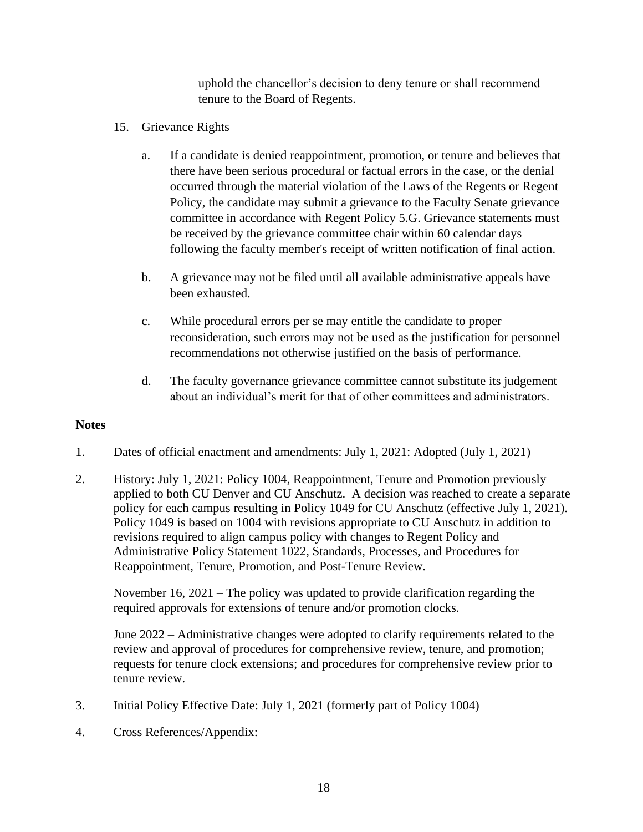uphold the chancellor's decision to deny tenure or shall recommend tenure to the Board of Regents.

- <span id="page-17-0"></span>15. Grievance Rights
	- a. If a candidate is denied reappointment, promotion, or tenure and believes that there have been serious procedural or factual errors in the case, or the denial occurred through the material violation of the Laws of the Regents or Regent Policy, the candidate may submit a grievance to the Faculty Senate grievance committee in accordance with Regent Policy 5.G. Grievance statements must be received by the grievance committee chair within 60 calendar days following the faculty member's receipt of written notification of final action.
	- b. A grievance may not be filed until all available administrative appeals have been exhausted.
	- c. While procedural errors per se may entitle the candidate to proper reconsideration, such errors may not be used as the justification for personnel recommendations not otherwise justified on the basis of performance.
	- d. The faculty governance grievance committee cannot substitute its judgement about an individual's merit for that of other committees and administrators.

## **Notes**

- 1. Dates of official enactment and amendments: July 1, 2021: Adopted (July 1, 2021)
- 2. History: July 1, 2021: Policy 1004, Reappointment, Tenure and Promotion previously applied to both CU Denver and CU Anschutz. A decision was reached to create a separate policy for each campus resulting in Policy 1049 for CU Anschutz (effective July 1, 2021). Policy 1049 is based on 1004 with revisions appropriate to CU Anschutz in addition to revisions required to align campus policy with changes to Regent Policy and Administrative Policy Statement 1022, Standards, Processes, and Procedures for Reappointment, Tenure, Promotion, and Post-Tenure Review.

November 16, 2021 – The policy was updated to provide clarification regarding the required approvals for extensions of tenure and/or promotion clocks.

June 2022 – Administrative changes were adopted to clarify requirements related to the review and approval of procedures for comprehensive review, tenure, and promotion; requests for tenure clock extensions; and procedures for comprehensive review prior to tenure review.

- 3. Initial Policy Effective Date: July 1, 2021 (formerly part of Policy 1004)
- 4. Cross References/Appendix: